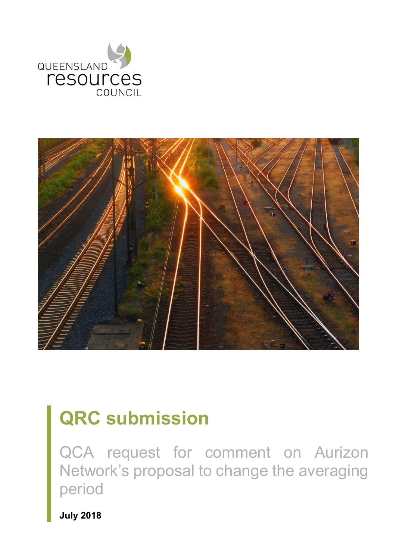



# **QRC submission**

QCA request for comment on Aurizon Network's proposal to change the averaging period

**July 2018**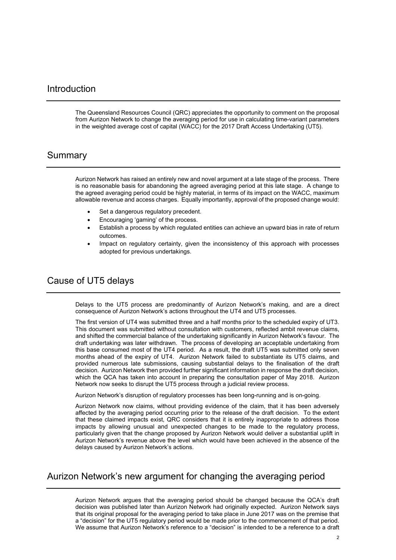#### Introduction

The Queensland Resources Council (QRC) appreciates the opportunity to comment on the proposal from Aurizon Network to change the averaging period for use in calculating time-variant parameters in the weighted average cost of capital (WACC) for the 2017 Draft Access Undertaking (UT5).

#### Summary

Aurizon Network has raised an entirely new and novel argument at a late stage of the process. There is no reasonable basis for abandoning the agreed averaging period at this late stage. A change to the agreed averaging period could be highly material, in terms of its impact on the WACC, maximum allowable revenue and access charges. Equally importantly, approval of the proposed change would:

- Set a dangerous regulatory precedent.
- Encouraging 'gaming' of the process.
- Establish a process by which regulated entities can achieve an upward bias in rate of return outcomes.
- Impact on regulatory certainty, given the inconsistency of this approach with processes adopted for previous undertakings.

#### Cause of UT5 delays

Delays to the UT5 process are predominantly of Aurizon Network's making, and are a direct consequence of Aurizon Network's actions throughout the UT4 and UT5 processes.

The first version of UT4 was submitted three and a half months prior to the scheduled expiry of UT3. This document was submitted without consultation with customers, reflected ambit revenue claims, and shifted the commercial balance of the undertaking significantly in Aurizon Network's favour. The draft undertaking was later withdrawn. The process of developing an acceptable undertaking from this base consumed most of the UT4 period. As a result, the draft UT5 was submitted only seven months ahead of the expiry of UT4. Aurizon Network failed to substantiate its UT5 claims, and provided numerous late submissions, causing substantial delays to the finalisation of the draft decision. Aurizon Network then provided further significant information in response the draft decision, which the QCA has taken into account in preparing the consultation paper of May 2018. Aurizon Network now seeks to disrupt the UT5 process through a judicial review process.

Aurizon Network's disruption of regulatory processes has been long-running and is on-going.

Aurizon Network now claims, without providing evidence of the claim, that it has been adversely affected by the averaging period occurring prior to the release of the draft decision. To the extent that these claimed impacts exist, QRC considers that it is entirely inappropriate to address those impacts by allowing unusual and unexpected changes to be made to the regulatory process, particularly given that the change proposed by Aurizon Network would deliver a substantial uplift in Aurizon Network's revenue above the level which would have been achieved in the absence of the delays caused by Aurizon Network's actions.

#### Aurizon Network's new argument for changing the averaging period

Aurizon Network argues that the averaging period should be changed because the QCA's draft decision was published later than Aurizon Network had originally expected. Aurizon Network says that its original proposal for the averaging period to take place in June 2017 was on the premise that a "decision" for the UT5 regulatory period would be made prior to the commencement of that period. We assume that Aurizon Network's reference to a "decision" is intended to be a reference to a draft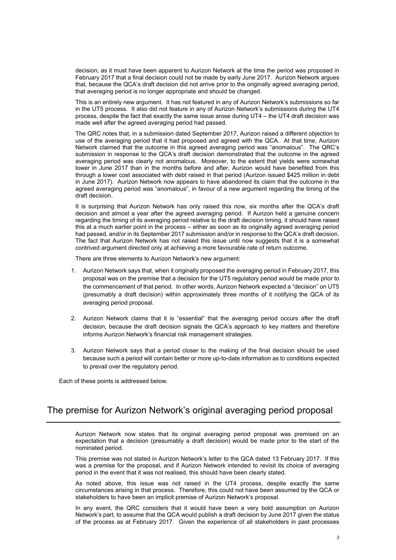decision, as it must have been apparent to Aurizon Network at the time the period was proposed in February 2017 that a final decision could not be made by early June 2017. Aurizon Network argues that, because the QCA's draft decision did not arrive prior to the originally agreed averaging period, that averaging period is no longer appropriate and should be changed.

This is an entirely new argument. It has not featured in any of Aurizon Network's submissions so far in the UT5 process. It also did not feature in any of Aurizon Network's submissions during the UT4 process, despite the fact that exactly the same issue arose during UT4 – the UT4 draft decision was made well after the agreed averaging period had passed.

The QRC notes that, in a submission dated September 2017, Aurizon raised a different objection to use of the averaging period that it had proposed and agreed with the QCA. At that time, Aurizon Network claimed that the outcome in this agreed averaging period was "anomalous". The QRC's submission in response to the QCA's draft decision demonstrated that the outcome in the agreed averaging period was clearly not anomalous. Moreover, to the extent that yields were somewhat lower in June 2017 than in the months before and after, Aurizon would have benefited from this through a lower cost associated with debt raised in that period (Aurizon issued \$425 million in debt in June 2017). Aurizon Network now appears to have abandoned its claim that the outcome in the agreed averaging period was "anomalous", in favour of a new argument regarding the timing of the draft decision.

It is surprising that Aurizon Network has only raised this now, six months after the QCA's draft decision and almost a year after the agreed averaging period. If Aurizon held a genuine concern regarding the timing of its averaging period relative to the draft decision timing, it should have raised this at a much earlier point in the process – either as soon as its originally agreed averaging period had passed, and/or in its September 2017 submission and/or in response to the QCA's draft decision. The fact that Aurizon Network has not raised this issue until now suggests that it is a somewhat contrived argument directed only at achieving a more favourable rate of return outcome.

There are three elements to Aurizon Network's new argument:

- 1. Aurizon Network says that, when it originally proposed the averaging period in February 2017, this proposal was on the premise that a decision for the UT5 regulatory period would be made prior to the commencement of that period. In other words, Aurizon Network expected a "decision" on UT5 (presumably a draft decision) within approximately three months of it notifying the QCA of its averaging period proposal.
- 2. Aurizon Network claims that it is "essential" that the averaging period occurs after the draft decision, because the draft decision signals the QCA's approach to key matters and therefore informs Aurizon Network's financial risk management strategies.
- 3. Aurizon Network says that a period closer to the making of the final decision should be used because such a period will contain better or more up-to-date information as to conditions expected to prevail over the regulatory period.

Each of these points is addressed below.

## The premise for Aurizon Network's original averaging period proposal

Aurizon Network now states that its original averaging period proposal was premised on an expectation that a decision (presumably a draft decision) would be made prior to the start of the nominated period.

This premise was not stated in Aurizon Network's letter to the QCA dated 13 February 2017. If this was a premise for the proposal, and if Aurizon Network intended to revisit its choice of averaging period in the event that it was not realised, this should have been clearly stated.

As noted above, this issue was not raised in the UT4 process, despite exactly the same circumstances arising in that process. Therefore, this could not have been assumed by the QCA or stakeholders to have been an implicit premise of Aurizon Network's proposal.

In any event, the QRC considers that it would have been a very bold assumption on Aurizon Network's part, to assume that the QCA would publish a draft decision by June 2017 given the status of the process as at February 2017. Given the experience of all stakeholders in past processes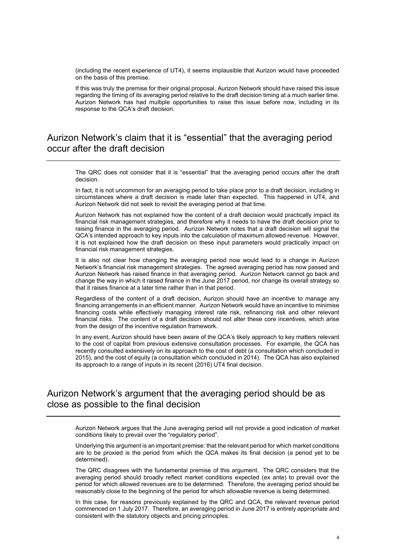(including the recent experience of UT4), it seems implausible that Aurizon would have proceeded on the basis of this premise.

If this was truly the premise for their original proposal, Aurizon Network should have raised this issue regarding the timing of its averaging period relative to the draft decision timing at a much earlier time. Aurizon Network has had multiple opportunities to raise this issue before now, including in its response to the QCA's draft decision.

#### Aurizon Network's claim that it is "essential" that the averaging period occur after the draft decision

The QRC does not consider that it is "essential" that the averaging period occurs after the draft decision.

In fact, it is not uncommon for an averaging period to take place prior to a draft decision, including in circumstances where a draft decision is made later than expected. This happened in UT4, and Aurizon Network did not seek to revisit the averaging period at that time.

Aurizon Network has not explained how the content of a draft decision would practically impact its financial risk management strategies, and therefore why it needs to have the draft decision prior to raising finance in the averaging period. Aurizon Network notes that a draft decision will signal the QCA's intended approach to key inputs into the calculation of maximum allowed revenue. However, it is not explained how the draft decision on these input parameters would practically impact on financial risk management strategies.

It is also not clear how changing the averaging period now would lead to a change in Aurizon Network's financial risk management strategies. The agreed averaging period has now passed and Aurizon Network has raised finance in that averaging period. Aurizon Network cannot go back and change the way in which it raised finance in the June 2017 period, nor change its overall strategy so that it raises finance at a later time rather than in that period.

Regardless of the content of a draft decision, Aurizon should have an incentive to manage any financing arrangements in an efficient manner. Aurizon Network would have an incentive to minimise financing costs while effectively managing interest rate risk, refinancing risk and other relevant financial risks. The content of a draft decision should not alter these core incentives, which arise from the design of the incentive regulation framework.

In any event, Aurizon should have been aware of the QCA's likely approach to key matters relevant to the cost of capital from previous extensive consultation processes. For example, the QCA has recently consulted extensively on its approach to the cost of debt (a consultation which concluded in 2015), and the cost of equity (a consultation which concluded in 2014). The QCA has also explained its approach to a range of inputs in its recent (2016) UT4 final decision.

## Aurizon Network's argument that the averaging period should be as close as possible to the final decision

Aurizon Network argues that the June averaging period will not provide a good indication of market conditions likely to prevail over the "regulatory period".

Underlying this argument is an important premise: that the relevant period for which market conditions are to be proxied is the period from which the QCA makes its final decision (a period yet to be determined).

The QRC disagrees with the fundamental premise of this argument. The QRC considers that the averaging period should broadly reflect market conditions expected (ex ante) to prevail over the period for which allowed revenues are to be determined. Therefore, the averaging period should be reasonably close to the beginning of the period for which allowable revenue is being determined.

In this case, for reasons previously explained by the QRC and QCA, the relevant revenue period commenced on 1 July 2017. Therefore, an averaging period in June 2017 is entirely appropriate and consistent with the statutory objects and pricing principles.